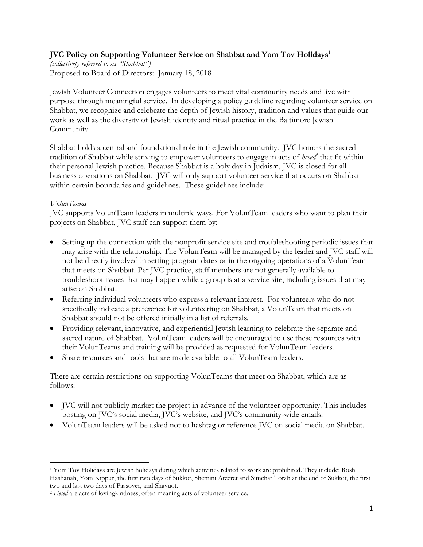# **JVC Policy on Supporting Volunteer Service on Shabbat and Yom Tov Holidays<sup>1</sup>**

*(collectively referred to as "Shabbat")* Proposed to Board of Directors: January 18, 2018

Jewish Volunteer Connection engages volunteers to meet vital community needs and live with purpose through meaningful service. In developing a policy guideline regarding volunteer service on Shabbat, we recognize and celebrate the depth of Jewish history, tradition and values that guide our work as well as the diversity of Jewish identity and ritual practice in the Baltimore Jewish Community.

Shabbat holds a central and foundational role in the Jewish community. JVC honors the sacred tradition of Shabbat while striving to empower volunteers to engage in acts of *hesed<sup>2</sup>* that fit within their personal Jewish practice. Because Shabbat is a holy day in Judaism, JVC is closed for all business operations on Shabbat. JVC will only support volunteer service that occurs on Shabbat within certain boundaries and guidelines. These guidelines include:

## *VolunTeams*

JVC supports VolunTeam leaders in multiple ways. For VolunTeam leaders who want to plan their projects on Shabbat, JVC staff can support them by:

- Setting up the connection with the nonprofit service site and troubleshooting periodic issues that may arise with the relationship. The VolunTeam will be managed by the leader and JVC staff will not be directly involved in setting program dates or in the ongoing operations of a VolunTeam that meets on Shabbat. Per JVC practice, staff members are not generally available to troubleshoot issues that may happen while a group is at a service site, including issues that may arise on Shabbat.
- Referring individual volunteers who express a relevant interest. For volunteers who do not specifically indicate a preference for volunteering on Shabbat, a VolunTeam that meets on Shabbat should not be offered initially in a list of referrals.
- Providing relevant, innovative, and experiential Jewish learning to celebrate the separate and sacred nature of Shabbat. VolunTeam leaders will be encouraged to use these resources with their VolunTeams and training will be provided as requested for VolunTeam leaders.
- Share resources and tools that are made available to all VolunTeam leaders.

There are certain restrictions on supporting VolunTeams that meet on Shabbat, which are as follows:

- JVC will not publicly market the project in advance of the volunteer opportunity. This includes posting on JVC's social media, JVC's website, and JVC's community-wide emails.
- VolunTeam leaders will be asked not to hashtag or reference JVC on social media on Shabbat.

 $\overline{\phantom{a}}$ <sup>1</sup> Yom Tov Holidays are Jewish holidays during which activities related to work are prohibited. They include: Rosh Hashanah, Yom Kippur, the first two days of Sukkot, Shemini Atzeret and Simchat Torah at the end of Sukkot, the first two and last two days of Passover, and Shavuot.

<sup>2</sup> *Hesed* are acts of lovingkindness, often meaning acts of volunteer service.